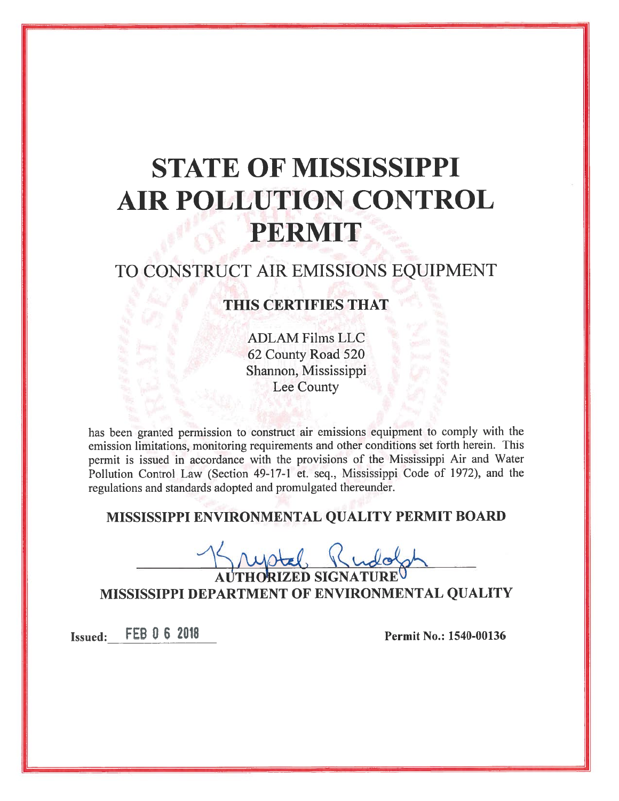# **STATE OF MISSISSIPPI AIR POLLUTION CONTROL** PERMIT

# TO CONSTRUCT AIR EMISSIONS EQUIPMENT

### **THIS CERTIFIES THAT**

**ADLAM Films LLC** 62 County Road 520 Shannon, Mississippi Lee County

has been granted permission to construct air emissions equipment to comply with the emission limitations, monitoring requirements and other conditions set forth herein. This permit is issued in accordance with the provisions of the Mississippi Air and Water Pollution Control Law (Section 49-17-1 et. seq., Mississippi Code of 1972), and the regulations and standards adopted and promulgated thereunder.

## MISSISSIPPI ENVIRONMENTAL QUALITY PERMIT BOARD

MISSISSIPPI DEPARTMENT OF ENVIRONMENTAL QUALITY

**Issued:** FEB 0 6 2018

Permit No.: 1540-00136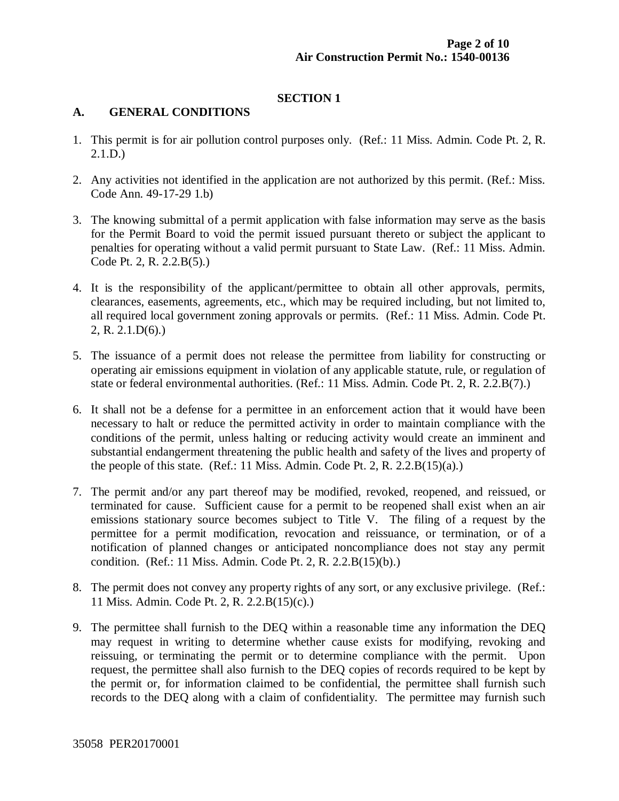#### **SECTION 1**

#### **A. GENERAL CONDITIONS**

- 1. This permit is for air pollution control purposes only. (Ref.: 11 Miss. Admin. Code Pt. 2, R. 2.1.D.)
- 2. Any activities not identified in the application are not authorized by this permit. (Ref.: Miss. Code Ann. 49-17-29 1.b)
- 3. The knowing submittal of a permit application with false information may serve as the basis for the Permit Board to void the permit issued pursuant thereto or subject the applicant to penalties for operating without a valid permit pursuant to State Law. (Ref.: 11 Miss. Admin. Code Pt. 2, R. 2.2.B(5).)
- 4. It is the responsibility of the applicant/permittee to obtain all other approvals, permits, clearances, easements, agreements, etc., which may be required including, but not limited to, all required local government zoning approvals or permits. (Ref.: 11 Miss. Admin. Code Pt. 2, R. 2.1.D(6).)
- 5. The issuance of a permit does not release the permittee from liability for constructing or operating air emissions equipment in violation of any applicable statute, rule, or regulation of state or federal environmental authorities. (Ref.: 11 Miss. Admin. Code Pt. 2, R. 2.2.B(7).)
- 6. It shall not be a defense for a permittee in an enforcement action that it would have been necessary to halt or reduce the permitted activity in order to maintain compliance with the conditions of the permit, unless halting or reducing activity would create an imminent and substantial endangerment threatening the public health and safety of the lives and property of the people of this state. (Ref.: 11 Miss. Admin. Code Pt. 2, R. 2.2. $B(15)(a)$ .)
- 7. The permit and/or any part thereof may be modified, revoked, reopened, and reissued, or terminated for cause. Sufficient cause for a permit to be reopened shall exist when an air emissions stationary source becomes subject to Title V. The filing of a request by the permittee for a permit modification, revocation and reissuance, or termination, or of a notification of planned changes or anticipated noncompliance does not stay any permit condition. (Ref.: 11 Miss. Admin. Code Pt. 2, R. 2.2.B(15)(b).)
- 8. The permit does not convey any property rights of any sort, or any exclusive privilege. (Ref.: 11 Miss. Admin. Code Pt. 2, R. 2.2.B(15)(c).)
- 9. The permittee shall furnish to the DEQ within a reasonable time any information the DEQ may request in writing to determine whether cause exists for modifying, revoking and reissuing, or terminating the permit or to determine compliance with the permit. Upon request, the permittee shall also furnish to the DEQ copies of records required to be kept by the permit or, for information claimed to be confidential, the permittee shall furnish such records to the DEQ along with a claim of confidentiality. The permittee may furnish such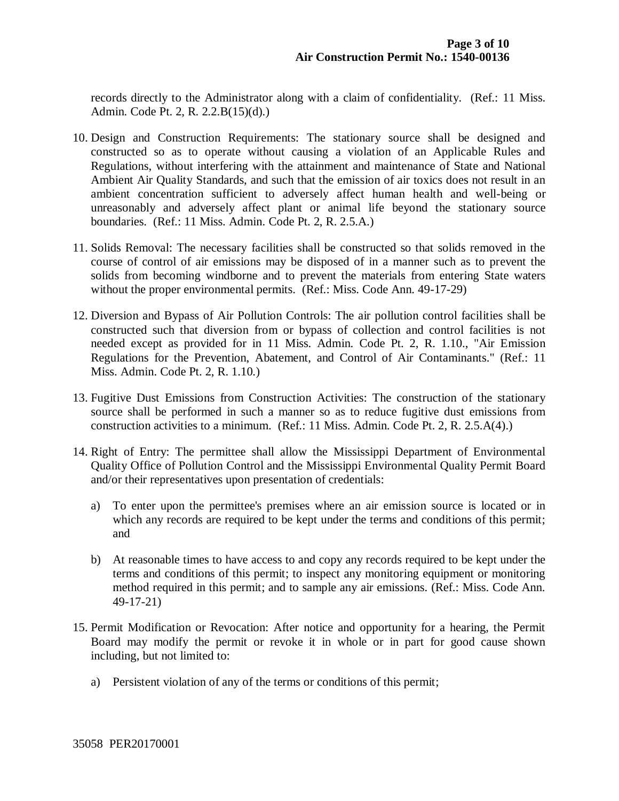records directly to the Administrator along with a claim of confidentiality. (Ref.: 11 Miss. Admin. Code Pt. 2, R. 2.2.B(15)(d).)

- 10. Design and Construction Requirements: The stationary source shall be designed and constructed so as to operate without causing a violation of an Applicable Rules and Regulations, without interfering with the attainment and maintenance of State and National Ambient Air Quality Standards, and such that the emission of air toxics does not result in an ambient concentration sufficient to adversely affect human health and well-being or unreasonably and adversely affect plant or animal life beyond the stationary source boundaries. (Ref.: 11 Miss. Admin. Code Pt. 2, R. 2.5.A.)
- 11. Solids Removal: The necessary facilities shall be constructed so that solids removed in the course of control of air emissions may be disposed of in a manner such as to prevent the solids from becoming windborne and to prevent the materials from entering State waters without the proper environmental permits. (Ref.: Miss. Code Ann. 49-17-29)
- 12. Diversion and Bypass of Air Pollution Controls: The air pollution control facilities shall be constructed such that diversion from or bypass of collection and control facilities is not needed except as provided for in 11 Miss. Admin. Code Pt. 2, R. 1.10., "Air Emission Regulations for the Prevention, Abatement, and Control of Air Contaminants." (Ref.: 11 Miss. Admin. Code Pt. 2, R. 1.10.)
- 13. Fugitive Dust Emissions from Construction Activities: The construction of the stationary source shall be performed in such a manner so as to reduce fugitive dust emissions from construction activities to a minimum. (Ref.: 11 Miss. Admin. Code Pt. 2, R. 2.5.A(4).)
- 14. Right of Entry: The permittee shall allow the Mississippi Department of Environmental Quality Office of Pollution Control and the Mississippi Environmental Quality Permit Board and/or their representatives upon presentation of credentials:
	- a) To enter upon the permittee's premises where an air emission source is located or in which any records are required to be kept under the terms and conditions of this permit; and
	- b) At reasonable times to have access to and copy any records required to be kept under the terms and conditions of this permit; to inspect any monitoring equipment or monitoring method required in this permit; and to sample any air emissions. (Ref.: Miss. Code Ann. 49-17-21)
- 15. Permit Modification or Revocation: After notice and opportunity for a hearing, the Permit Board may modify the permit or revoke it in whole or in part for good cause shown including, but not limited to:
	- a) Persistent violation of any of the terms or conditions of this permit;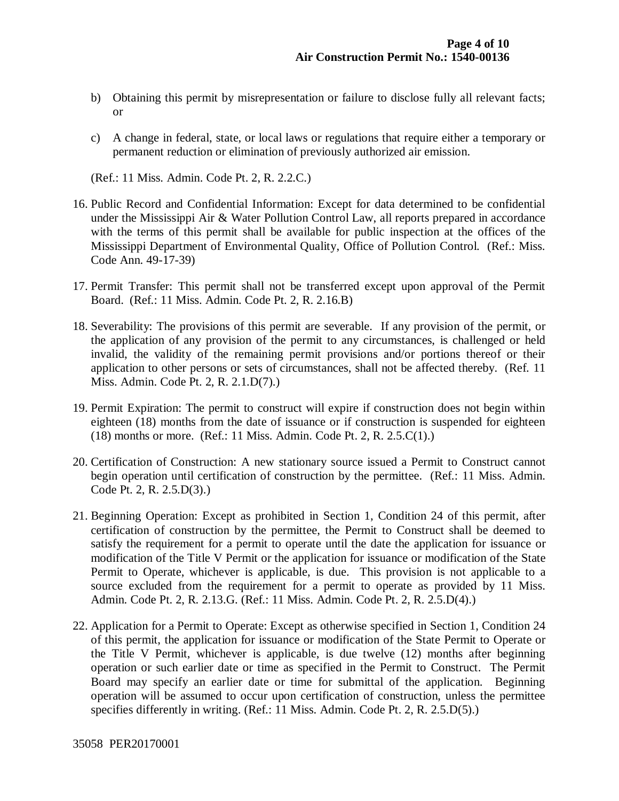- b) Obtaining this permit by misrepresentation or failure to disclose fully all relevant facts; or
- c) A change in federal, state, or local laws or regulations that require either a temporary or permanent reduction or elimination of previously authorized air emission.

(Ref.: 11 Miss. Admin. Code Pt. 2, R. 2.2.C.)

- 16. Public Record and Confidential Information: Except for data determined to be confidential under the Mississippi Air & Water Pollution Control Law, all reports prepared in accordance with the terms of this permit shall be available for public inspection at the offices of the Mississippi Department of Environmental Quality, Office of Pollution Control. (Ref.: Miss. Code Ann. 49-17-39)
- 17. Permit Transfer: This permit shall not be transferred except upon approval of the Permit Board. (Ref.: 11 Miss. Admin. Code Pt. 2, R. 2.16.B)
- 18. Severability: The provisions of this permit are severable. If any provision of the permit, or the application of any provision of the permit to any circumstances, is challenged or held invalid, the validity of the remaining permit provisions and/or portions thereof or their application to other persons or sets of circumstances, shall not be affected thereby. (Ref. 11 Miss. Admin. Code Pt. 2, R. 2.1.D(7).)
- 19. Permit Expiration: The permit to construct will expire if construction does not begin within eighteen (18) months from the date of issuance or if construction is suspended for eighteen (18) months or more. (Ref.: 11 Miss. Admin. Code Pt. 2, R. 2.5.C(1).)
- 20. Certification of Construction: A new stationary source issued a Permit to Construct cannot begin operation until certification of construction by the permittee. (Ref.: 11 Miss. Admin. Code Pt. 2, R. 2.5.D(3).)
- 21. Beginning Operation: Except as prohibited in Section 1, Condition 24 of this permit, after certification of construction by the permittee, the Permit to Construct shall be deemed to satisfy the requirement for a permit to operate until the date the application for issuance or modification of the Title V Permit or the application for issuance or modification of the State Permit to Operate, whichever is applicable, is due. This provision is not applicable to a source excluded from the requirement for a permit to operate as provided by 11 Miss. Admin. Code Pt. 2, R. 2.13.G. (Ref.: 11 Miss. Admin. Code Pt. 2, R. 2.5.D(4).)
- 22. Application for a Permit to Operate: Except as otherwise specified in Section 1, Condition 24 of this permit, the application for issuance or modification of the State Permit to Operate or the Title V Permit, whichever is applicable, is due twelve (12) months after beginning operation or such earlier date or time as specified in the Permit to Construct. The Permit Board may specify an earlier date or time for submittal of the application. Beginning operation will be assumed to occur upon certification of construction, unless the permittee specifies differently in writing. (Ref.: 11 Miss. Admin. Code Pt. 2, R. 2.5.D(5).)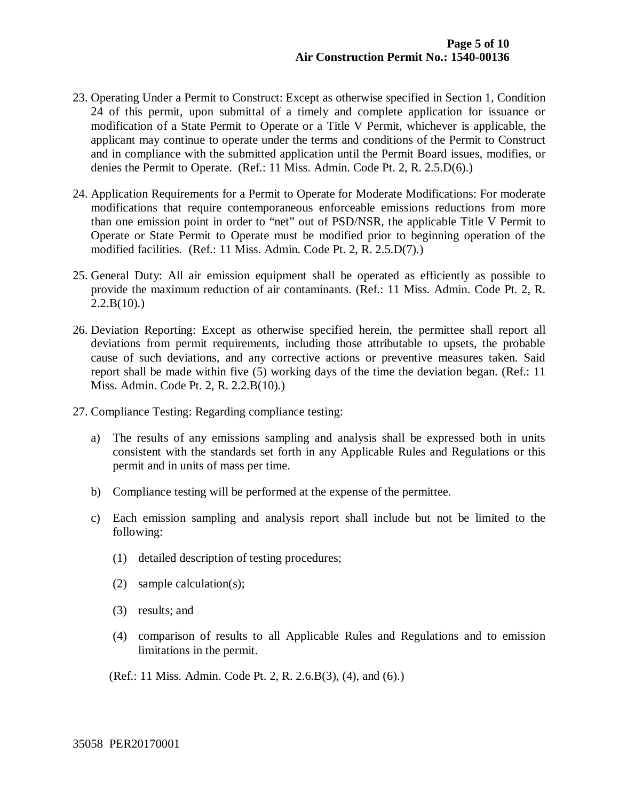- 23. Operating Under a Permit to Construct: Except as otherwise specified in Section 1, Condition 24 of this permit, upon submittal of a timely and complete application for issuance or modification of a State Permit to Operate or a Title V Permit, whichever is applicable, the applicant may continue to operate under the terms and conditions of the Permit to Construct and in compliance with the submitted application until the Permit Board issues, modifies, or denies the Permit to Operate. (Ref.: 11 Miss. Admin. Code Pt. 2, R. 2.5.D(6).)
- 24. Application Requirements for a Permit to Operate for Moderate Modifications: For moderate modifications that require contemporaneous enforceable emissions reductions from more than one emission point in order to "net" out of PSD/NSR, the applicable Title V Permit to Operate or State Permit to Operate must be modified prior to beginning operation of the modified facilities. (Ref.: 11 Miss. Admin. Code Pt. 2, R. 2.5.D(7).)
- 25. General Duty: All air emission equipment shall be operated as efficiently as possible to provide the maximum reduction of air contaminants. (Ref.: 11 Miss. Admin. Code Pt. 2, R.  $2.2.B(10)$ .
- 26. Deviation Reporting: Except as otherwise specified herein, the permittee shall report all deviations from permit requirements, including those attributable to upsets, the probable cause of such deviations, and any corrective actions or preventive measures taken. Said report shall be made within five (5) working days of the time the deviation began. (Ref.: 11 Miss. Admin. Code Pt. 2, R. 2.2.B(10).)
- 27. Compliance Testing: Regarding compliance testing:
	- a) The results of any emissions sampling and analysis shall be expressed both in units consistent with the standards set forth in any Applicable Rules and Regulations or this permit and in units of mass per time.
	- b) Compliance testing will be performed at the expense of the permittee.
	- c) Each emission sampling and analysis report shall include but not be limited to the following:
		- (1) detailed description of testing procedures;
		- (2) sample calculation(s);
		- (3) results; and
		- (4) comparison of results to all Applicable Rules and Regulations and to emission limitations in the permit.

(Ref.: 11 Miss. Admin. Code Pt. 2, R. 2.6.B(3), (4), and (6).)

35058 PER20170001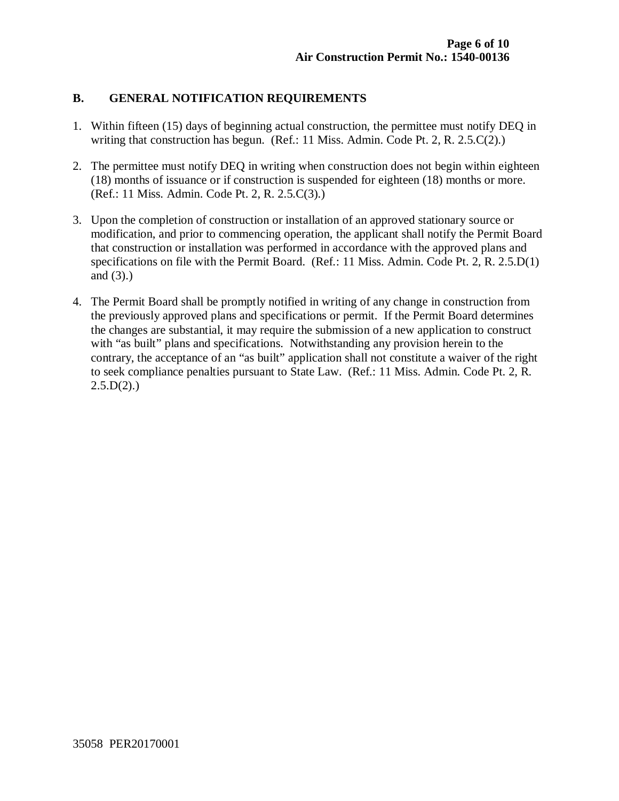#### **B. GENERAL NOTIFICATION REQUIREMENTS**

- 1. Within fifteen (15) days of beginning actual construction, the permittee must notify DEQ in writing that construction has begun. (Ref.: 11 Miss. Admin. Code Pt. 2, R. 2.5.C(2).)
- 2. The permittee must notify DEQ in writing when construction does not begin within eighteen (18) months of issuance or if construction is suspended for eighteen (18) months or more. (Ref.: 11 Miss. Admin. Code Pt. 2, R. 2.5.C(3).)
- 3. Upon the completion of construction or installation of an approved stationary source or modification, and prior to commencing operation, the applicant shall notify the Permit Board that construction or installation was performed in accordance with the approved plans and specifications on file with the Permit Board. (Ref.: 11 Miss. Admin. Code Pt. 2, R. 2.5.D(1) and (3).)
- 4. The Permit Board shall be promptly notified in writing of any change in construction from the previously approved plans and specifications or permit. If the Permit Board determines the changes are substantial, it may require the submission of a new application to construct with "as built" plans and specifications. Notwithstanding any provision herein to the contrary, the acceptance of an "as built" application shall not constitute a waiver of the right to seek compliance penalties pursuant to State Law. (Ref.: 11 Miss. Admin. Code Pt. 2, R.  $2.5.D(2)$ .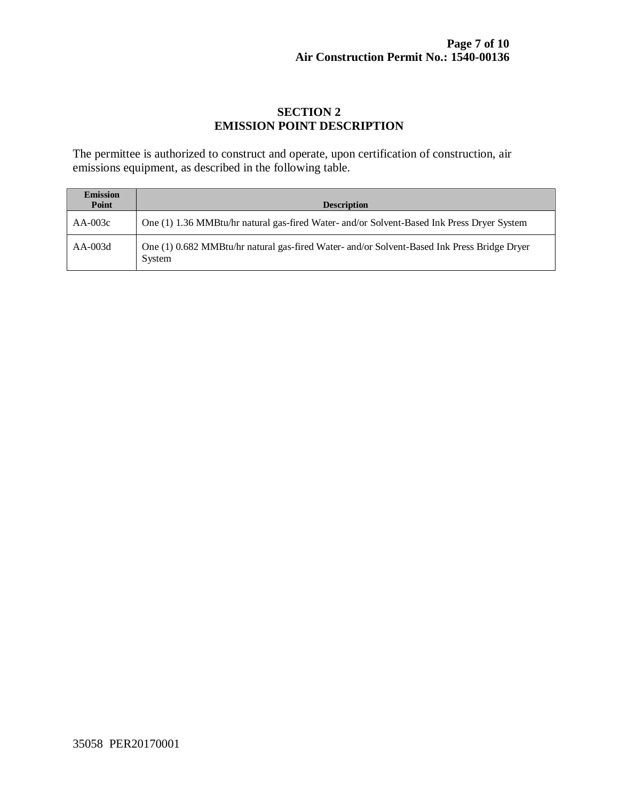#### **SECTION 2 EMISSION POINT DESCRIPTION**

The permittee is authorized to construct and operate, upon certification of construction, air emissions equipment, as described in the following table.

| <b>Emission</b><br>Point | <b>Description</b>                                                                                    |
|--------------------------|-------------------------------------------------------------------------------------------------------|
| $AA-003c$                | One (1) 1.36 MMBtu/hr natural gas-fired Water- and/or Solvent-Based Ink Press Dryer System            |
| $AA-003d$                | One (1) 0.682 MMBtu/hr natural gas-fired Water- and/or Solvent-Based Ink Press Bridge Dryer<br>System |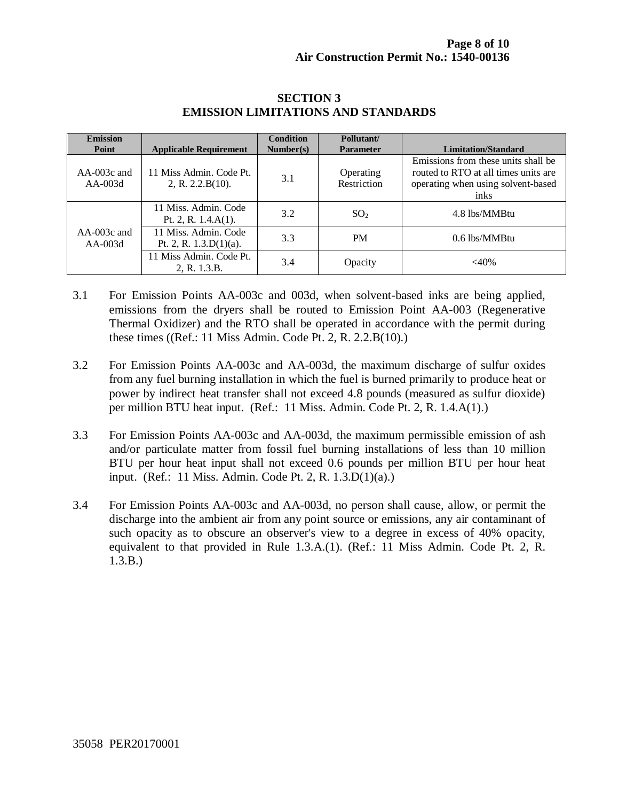| <b>Emission</b><br>Point   | <b>Applicable Requirement</b>                     | <b>Condition</b><br>Number(s) | Pollutant/<br><b>Parameter</b> | <b>Limitation/Standard</b>                                                                                                |
|----------------------------|---------------------------------------------------|-------------------------------|--------------------------------|---------------------------------------------------------------------------------------------------------------------------|
| $AA-003c$ and<br>$AA-003d$ | 11 Miss Admin. Code Pt.<br>2, R. 2.2.B(10).       | 3.1                           | Operating<br>Restriction       | Emissions from these units shall be<br>routed to RTO at all times units are<br>operating when using solvent-based<br>inks |
|                            | 11 Miss. Admin. Code<br>Pt. 2, R. $1.4.A(1)$ .    | 3.2                           | SO <sub>2</sub>                | 4.8 lbs/MMBtu                                                                                                             |
| $AA-003c$ and<br>$AA-003d$ | 11 Miss. Admin. Code<br>Pt. 2, R. $1.3.D(1)(a)$ . | 3.3                           | <b>PM</b>                      | 0.6 lbs/MMBtu                                                                                                             |
|                            | 11 Miss Admin. Code Pt.<br>2, R. 1.3.B.           | 3.4                           | Opacity                        | $<$ 40%                                                                                                                   |

#### **SECTION 3 EMISSION LIMITATIONS AND STANDARDS**

- 3.1 For Emission Points AA-003c and 003d, when solvent-based inks are being applied, emissions from the dryers shall be routed to Emission Point AA-003 (Regenerative Thermal Oxidizer) and the RTO shall be operated in accordance with the permit during these times ((Ref.: 11 Miss Admin. Code Pt. 2, R. 2.2.B(10).)
- 3.2 For Emission Points AA-003c and AA-003d, the maximum discharge of sulfur oxides from any fuel burning installation in which the fuel is burned primarily to produce heat or power by indirect heat transfer shall not exceed 4.8 pounds (measured as sulfur dioxide) per million BTU heat input. (Ref.: 11 Miss. Admin. Code Pt. 2, R. 1.4.A(1).)
- 3.3 For Emission Points AA-003c and AA-003d, the maximum permissible emission of ash and/or particulate matter from fossil fuel burning installations of less than 10 million BTU per hour heat input shall not exceed 0.6 pounds per million BTU per hour heat input. (Ref.: 11 Miss. Admin. Code Pt. 2, R. 1.3.D(1)(a).)
- 3.4 For Emission Points AA-003c and AA-003d, no person shall cause, allow, or permit the discharge into the ambient air from any point source or emissions, any air contaminant of such opacity as to obscure an observer's view to a degree in excess of 40% opacity, equivalent to that provided in Rule 1.3.A.(1). (Ref.: 11 Miss Admin. Code Pt. 2, R. 1.3.B.)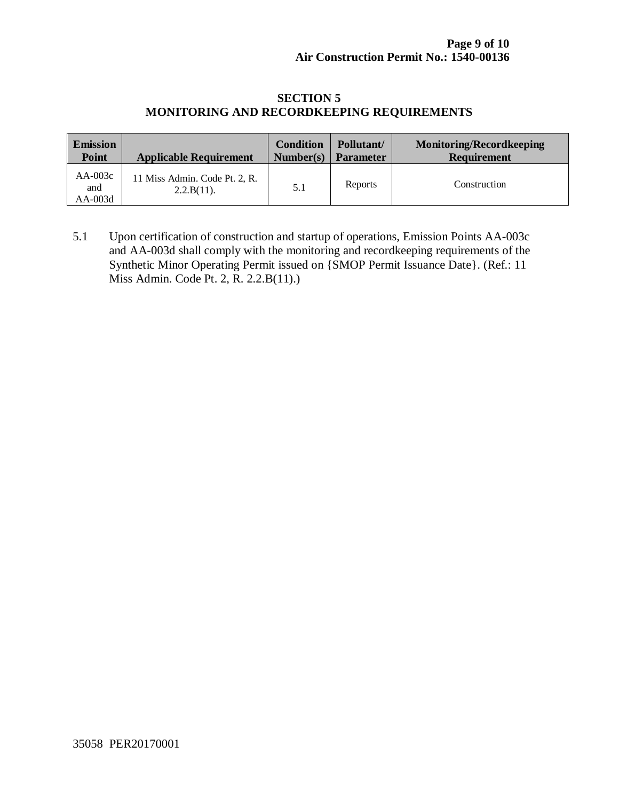#### **SECTION 5 MONITORING AND RECORDKEEPING REQUIREMENTS**

| <b>Emission</b>             | <b>Applicable Requirement</b>               | <b>Condition</b> | Pollutant/       | <b>Monitoring/Recordkeeping</b> |
|-----------------------------|---------------------------------------------|------------------|------------------|---------------------------------|
| Point                       |                                             | Number(s)        | <b>Parameter</b> | <b>Requirement</b>              |
| $AA-003c$<br>and<br>AA-003d | 11 Miss Admin. Code Pt. 2, R.<br>2.2.B(11). | 5.1              | Reports          | Construction                    |

5.1 Upon certification of construction and startup of operations, Emission Points AA-003c and AA-003d shall comply with the monitoring and recordkeeping requirements of the Synthetic Minor Operating Permit issued on {SMOP Permit Issuance Date}. (Ref.: 11 Miss Admin. Code Pt. 2, R. 2.2.B(11).)